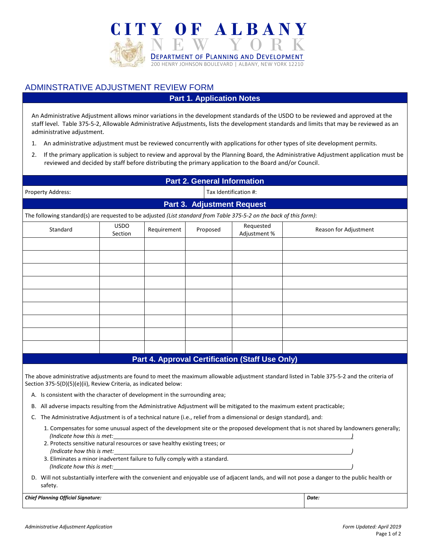

## ADMINSTRATIVE ADJUSTMENT REVIEW FORM

## **Part 1. Application Notes**

An Administrative Adjustment allows minor variations in the development standards of the USDO to be reviewed and approved at the staff level. Table 375-5-2, Allowable Administrative Adjustments, lists the development standards and limits that may be reviewed as an administrative adjustment.

- 1. An administrative adjustment must be reviewed concurrently with applications for other types of site development permits.
- 2. If the primary application is subject to review and approval by the Planning Board, the Administrative Adjustment application must be reviewed and decided by staff before distributing the primary application to the Board and/or Council.

| Part 2. General Information                                                                                                                                                                                      |                        |             |          |                           |       |                                                                                                                                        |  |  |
|------------------------------------------------------------------------------------------------------------------------------------------------------------------------------------------------------------------|------------------------|-------------|----------|---------------------------|-------|----------------------------------------------------------------------------------------------------------------------------------------|--|--|
| Tax Identification #:<br>Property Address:                                                                                                                                                                       |                        |             |          |                           |       |                                                                                                                                        |  |  |
| <b>Part 3. Adjustment Request</b>                                                                                                                                                                                |                        |             |          |                           |       |                                                                                                                                        |  |  |
| The following standard(s) are requested to be adjusted (List standard from Table 375-5-2 on the back of this form):                                                                                              |                        |             |          |                           |       |                                                                                                                                        |  |  |
| Standard                                                                                                                                                                                                         | <b>USDO</b><br>Section | Requirement | Proposed | Requested<br>Adjustment % |       | Reason for Adjustment                                                                                                                  |  |  |
|                                                                                                                                                                                                                  |                        |             |          |                           |       |                                                                                                                                        |  |  |
|                                                                                                                                                                                                                  |                        |             |          |                           |       |                                                                                                                                        |  |  |
|                                                                                                                                                                                                                  |                        |             |          |                           |       |                                                                                                                                        |  |  |
|                                                                                                                                                                                                                  |                        |             |          |                           |       |                                                                                                                                        |  |  |
|                                                                                                                                                                                                                  |                        |             |          |                           |       |                                                                                                                                        |  |  |
|                                                                                                                                                                                                                  |                        |             |          |                           |       |                                                                                                                                        |  |  |
|                                                                                                                                                                                                                  |                        |             |          |                           |       |                                                                                                                                        |  |  |
|                                                                                                                                                                                                                  |                        |             |          |                           |       |                                                                                                                                        |  |  |
|                                                                                                                                                                                                                  |                        |             |          |                           |       |                                                                                                                                        |  |  |
| Part 4. Approval Certification (Staff Use Only)                                                                                                                                                                  |                        |             |          |                           |       |                                                                                                                                        |  |  |
| The above administrative adjustments are found to meet the maximum allowable adjustment standard listed in Table 375-5-2 and the criteria of<br>Section 375-5(D)(5)(e)(ii), Review Criteria, as indicated below: |                        |             |          |                           |       |                                                                                                                                        |  |  |
| A. Is consistent with the character of development in the surrounding area;                                                                                                                                      |                        |             |          |                           |       |                                                                                                                                        |  |  |
| B. All adverse impacts resulting from the Administrative Adjustment will be mitigated to the maximum extent practicable;                                                                                         |                        |             |          |                           |       |                                                                                                                                        |  |  |
| C. The Administrative Adjustment is of a technical nature (i.e., relief from a dimensional or design standard), and:                                                                                             |                        |             |          |                           |       |                                                                                                                                        |  |  |
| (Indicate how this is met:                                                                                                                                                                                       |                        |             |          |                           |       | 1. Compensates for some unusual aspect of the development site or the proposed development that is not shared by landowners generally; |  |  |
| 2. Protects sensitive natural resources or save healthy existing trees; or<br>(Indicate how this is met:                                                                                                         |                        |             |          |                           |       |                                                                                                                                        |  |  |
| 3. Eliminates a minor inadvertent failure to fully comply with a standard.<br>(Indicate how this is met:                                                                                                         |                        |             |          |                           |       |                                                                                                                                        |  |  |
| D. Will not substantially interfere with the convenient and enjoyable use of adjacent lands, and will not pose a danger to the public health or                                                                  |                        |             |          |                           |       |                                                                                                                                        |  |  |
| safety.                                                                                                                                                                                                          |                        |             |          |                           |       |                                                                                                                                        |  |  |
| <b>Chief Planning Official Signature:</b>                                                                                                                                                                        |                        |             |          |                           | Date: |                                                                                                                                        |  |  |